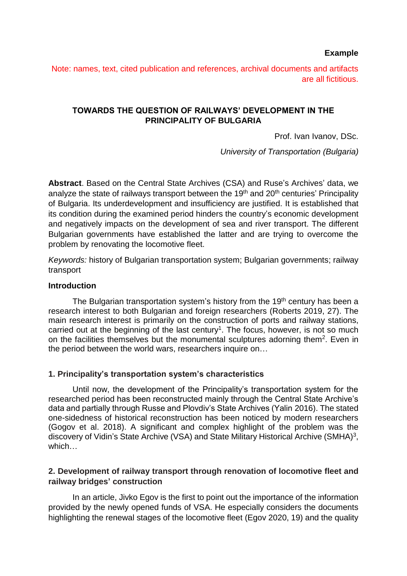#### **Example**

Note: names, text, cited publication and references, archival documents and artifacts are all fictitious.

## **TOWARDS THE QUESTION OF RAILWAYS' DEVELOPMENT IN THE PRINCIPALITY OF BULGARIA**

Prof. Ivan Ivanov, DSc.

*University of Transportation (Bulgaria)*

**Abstract**. Based on the Central State Archives (CSA) and Ruse's Archives' data, we analyze the state of railways transport between the 19<sup>th</sup> and 20<sup>th</sup> centuries' Principality of Bulgaria. Its underdevelopment and insufficiency are justified. It is established that its condition during the examined period hinders the country's economic development and negatively impacts on the development of sea and river transport. The different Bulgarian governments have established the latter and are trying to overcome the problem by renovating the locomotive fleet.

*Keywords:* history of Bulgarian transportation system; Bulgarian governments; railway transport

#### **Introduction**

The Bulgarian transportation system's history from the  $19<sup>th</sup>$  century has been a research interest to both Bulgarian and foreign researchers (Roberts 2019, 27). The main research interest is primarily on the construction of ports and railway stations, carried out at the beginning of the last century<sup>1</sup>. The focus, however, is not so much on the facilities themselves but the monumental sculptures adorning them<sup>2</sup>. Even in the period between the world wars, researchers inquire on…

#### **1. Principality's transportation system's characteristics**

Until now, the development of the Principality's transportation system for the researched period has been reconstructed mainly through the Central State Archive's data and partially through Russe and Plovdiv's State Archives (Yalin 2016). The stated one-sidedness of historical reconstruction has been noticed by modern researchers (Gogov et al. 2018). A significant and complex highlight of the problem was the discovery of Vidin's State Archive (VSA) and State Military Historical Archive (SMHA)<sup>3</sup>, which…

### **2. Development of railway transport through renovation of locomotive fleet and railway bridges' construction**

In an article, Jivko Egov is the first to point out the importance of the information provided by the newly opened funds of VSA. He especially considers the documents highlighting the renewal stages of the locomotive fleet (Egov 2020, 19) and the quality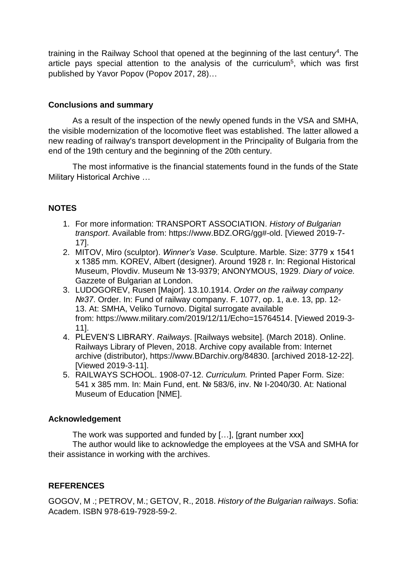training in the Railway School that opened at the beginning of the last century<sup>4</sup>. The article pays special attention to the analysis of the curriculum<sup>5</sup>, which was first published by Yavor Popov (Popov 2017, 28)…

# **Conclusions and summary**

As a result of the inspection of the newly opened funds in the VSA and SMHA, the visible modernization of the locomotive fleet was established. The latter allowed a new reading of railway's transport development in the Principality of Bulgaria from the end of the 19th century and the beginning of the 20th century.

The most informative is the financial statements found in the funds of the State Military Historical Archive …

# **NOTES**

- 1. For more information: TRANSPORT ASSOCIATION. *History of Bulgarian transport*. Available from: [https://www.BDZ.ORG/gg#-old.](https://www.bdz.org/gg#-old) [Viewed 2019-7- 17].
- 2. MITOV, Miro (sculptor). *Winner's Vase*. Sculpture. Marble. Size: 3779 х 1541 х 1385 mm. KOREV, Albert (designer). Around 1928 г. In: Regional Historical Museum, Plovdiv. Museum № 13-9379; ANONYMOUS, 1929. *Diary of voice.* Gazzete of Bulgarian at London.
- 3. LUDOGOREV, Rusen [Major]. 13.10.1914. *Order on the railway company №37*. Order. In: Fund of railway company. F. 1077, оp. 1, a.e. 13, pp. 12- 13. At: SMHA, Veliko Turnovo. Digital surrogate available from: [https://www.military.com/2019/12/11/Echo=15764514.](https://www.military.com/2019/12/11/Echo=15764514) [Viewed 2019-3- 11].
- 4. PLEVEN'S LIBRARY. *Railways*. [Railways website]. (March 2018). Online. Railways Library of Pleven, 2018. Archive copy available from: Internet archive (distributor), https://www.BDarchiv.org/84830. [archived 2018-12-22]. [Viewed 2019-3-11].
- 5. RAILWAYS SCHOOL. 1908-07-12. *Curriculum.* Printed Paper Form. Size: 541 х 385 mm. In: Main Fund, ent. № 583/6, inv. № I-2040/30. At: National Museum of Education [NME].

## **Acknowledgement**

The work was supported and funded by […], [grant number xxx]

The author would like to acknowledge the employees at the VSA and SMHA for their assistance in working with the archives.

# **REFERENCES**

GOGOV, M .; PETROV, M.; GETOV, R., 2018. *History of the Bulgarian railways*. Sofia: Academ. ISBN 978-619-7928-59-2.